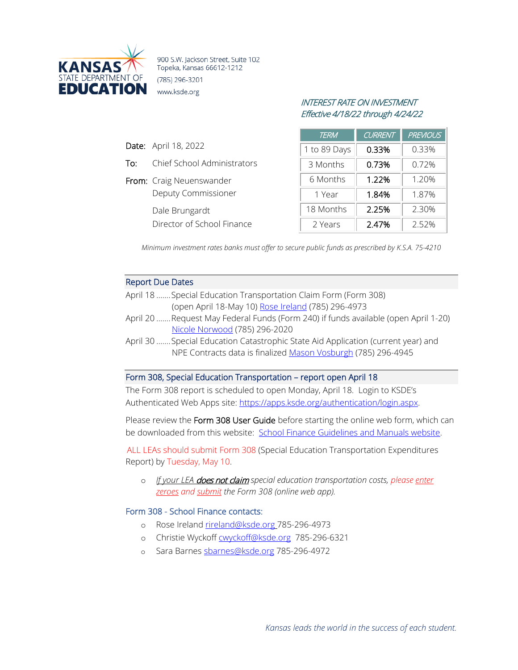

900 S.W. Jackson Street, Suite 102 Topeka, Kansas 66612-1212 (785) 296-3201 www.ksde.org

# INTEREST RATE ON INVESTMENT Effective 4/18/22 through 4/24/22

| <b>TERM</b>  | <b>CURRENT</b> | <b>PREVIOUS</b> |
|--------------|----------------|-----------------|
| 1 to 89 Days | 0.33%          | 0.33%           |
| 3 Months     | 0.73%          | 0.72%           |
| 6 Months     | 1.22%          | 1.20%           |
| 1 Year       | 1.84%          | 1.87%           |
| 18 Months    | 2.25%          | 2.30%           |
| 2 Years      | 2.47%          | 2.52%           |

*Minimum investment rates banks must offer to secure public funds as prescribed by K.S.A. 75-4210*

## Report Due Dates

Date: April 18, 2022

To: Chief School Administrators

Deputy Commissioner

Director of School Finance

From: Craig Neuenswander

Dale Brungardt

- April 18 .......Special Education Transportation Claim Form (Form 308) (open April 18-May 10) [Rose Ireland](mailto:rireland@ksde.org) (785) 296-4973
- April 20 .......Request May Federal Funds (Form 240) if funds available (open April 1-20) [Nicole Norwood](mailto:nnorwood@ksde.org) (785) 296-2020
- April 30 .......Special Education Catastrophic State Aid Application (current year) and NPE Contracts data is finalize[d Mason Vosburgh](mailto:mvosburgh@ksde.org) (785) 296-4945

## Form 308, Special Education Transportation – report open April 18

The Form 308 report is scheduled to open Monday, April 18. Login to KSDE's Authenticated Web Apps site: [https://apps.ksde.org/authentication/login.aspx.](https://apps.ksde.org/authentication/login.aspx)

Please review the Form 308 User Guide before starting the online web form, which can be downloaded from this website: [School Finance Guidelines and Manuals website.](https://linkprotect.cudasvc.com/url?a=http%3a%2f%2fwww.ksde.org%2fAgency%2fFiscal-and-Administrative-Services%2fSchool-Finance%2fGuidelines-and-Manuals&c=E,1,fwF72oicjZ-i_drMrMcSsXJ0wFiK3pw7c7Gkcwc87aCXcEQ4GAAtYXxEyEDeLrna-BsOrd1VcL6Xx6G4G6cE_c1qMH_DF7k3TKZh5yK8EQ,,&typo=1)

ALL LEAs should submit Form 308 (Special Education Transportation Expenditures Report) by Tuesday, May 10.

o *If your LEA* does not claim *special education transportation costs, please enter zeroes and submit the Form 308 (online web app).*

### Form 308 - School Finance contacts:

- o Rose Ireland [rireland@ksde.org](mailto:rireland@ksde.org) 785-296-4973
- o Christie Wyckof[f cwyckoff@ksde.org](mailto:cwyckoff@ksde.org) 785-296-6321
- Sara Barnes [sbarnes@ksde.org](mailto:sbarnes@ksde.org) 785-296-4972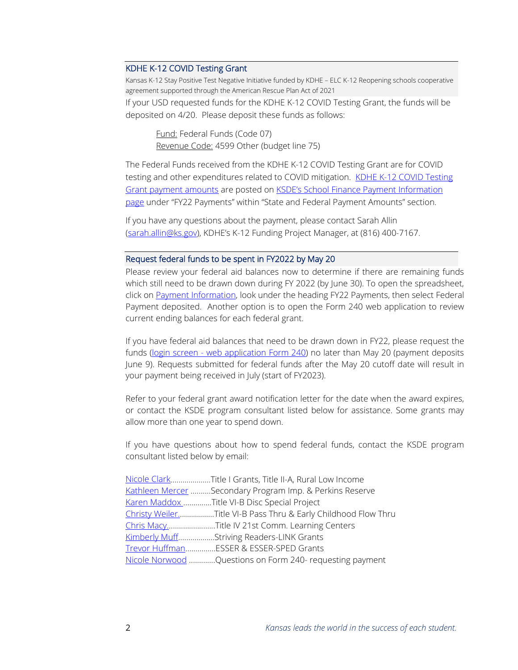### KDHE K-12 COVID Testing Grant

Kansas K-12 Stay Positive Test Negative Initiative funded by KDHE – ELC K-12 Reopening schools cooperative agreement supported through the American Rescue Plan Act of 2021

If your USD requested funds for the KDHE K-12 COVID Testing Grant, the funds will be deposited on 4/20. Please deposit these funds as follows:

Fund: Federal Funds (Code 07) Revenue Code: 4599 Other (budget line 75)

The Federal Funds received from the KDHE K-12 COVID Testing Grant are for COVID testing and other expenditures related to COVID mitigation. KDHE K-12 COVID Testing [Grant payment amounts](https://www.ksde.org/Portals/0/School%20Finance/payment_information/KDHE%20K-12%20COVID%20Testing%20Grant.pdf) are posted on **KSDE's School Finance Payment Information** [page](https://www.ksde.org/Agency/Fiscal-and-Administrative-Services/School-Finance/Payment-Information) under "FY22 Payments" within "State and Federal Payment Amounts" section.

If you have any questions about the payment, please contact Sarah Allin [\(sarah.allin@ks.gov\)](mailto:sarah.allin@ks.gov), KDHE's K-12 Funding Project Manager, at (816) 400-7167.

#### Request federal funds to be spent in FY2022 by May 20

Please review your federal aid balances now to determine if there are remaining funds which still need to be drawn down during FY 2022 (by June 30). To open the spreadsheet, click on [Payment Information,](https://www.ksde.org/Agency/Fiscal-and-Administrative-Services/School-Finance/Payment-Information) look under the heading FY22 Payments, then select Federal Payment deposited. Another option is to open the Form 240 web application to review current ending balances for each federal grant.

If you have federal aid balances that need to be drawn down in FY22, please request the funds (login screen - [web application Form 240\)](https://apps.ksde.org/authentication/login.aspx) no later than May 20 (payment deposits June 9). Requests submitted for federal funds after the May 20 cutoff date will result in your payment being received in July (start of FY2023).

Refer to your federal grant award notification letter for the date when the award expires, or contact the KSDE program consultant listed below for assistance. Some grants may allow more than one year to spend down.

If you have questions about how to spend federal funds, contact the KSDE program consultant listed below by email:

| Nicole ClarkTitle I Grants, Title II-A, Rural Low Income       |
|----------------------------------------------------------------|
| Kathleen Mercer Secondary Program Imp. & Perkins Reserve       |
| Karen Maddox Title VI-B Disc Special Project                   |
| Christy WeilerTitle VI-B Pass Thru & Early Childhood Flow Thru |
| Chris MacyTitle IV 21st Comm. Learning Centers                 |
| Kimberly MuffStriving Readers-LINK Grants                      |
| Trevor HuffmanESSER & ESSER-SPED Grants                        |
| Nicole Norwood Questions on Form 240- requesting payment       |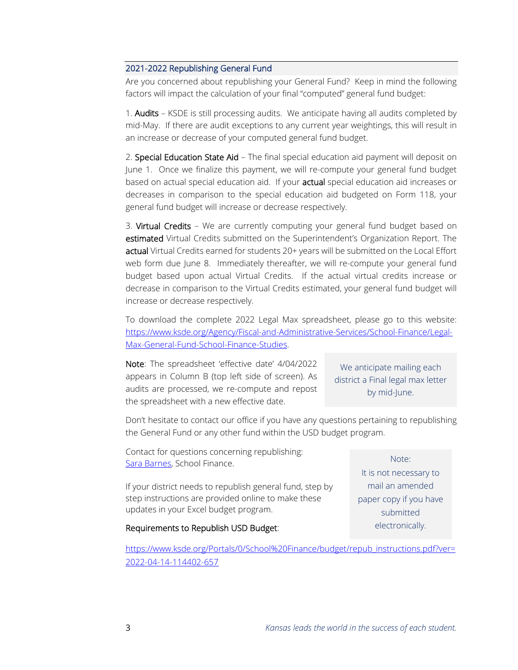## 2021-2022 Republishing General Fund

Are you concerned about republishing your General Fund? Keep in mind the following factors will impact the calculation of your final "computed" general fund budget:

1. Audits – KSDE is still processing audits. We anticipate having all audits completed by mid-May. If there are audit exceptions to any current year weightings, this will result in an increase or decrease of your computed general fund budget.

2. Special Education State Aid - The final special education aid payment will deposit on June 1. Once we finalize this payment, we will re-compute your general fund budget based on actual special education aid. If your **actual** special education aid increases or decreases in comparison to the special education aid budgeted on Form 118, your general fund budget will increase or decrease respectively.

3. Virtual Credits - We are currently computing your general fund budget based on estimated Virtual Credits submitted on the Superintendent's Organization Report. The actual Virtual Credits earned for students 20+ years will be submitted on the Local Effort web form due June 8. Immediately thereafter, we will re-compute your general fund budget based upon actual Virtual Credits. If the actual virtual credits increase or decrease in comparison to the Virtual Credits estimated, your general fund budget will increase or decrease respectively.

To download the complete 2022 Legal Max spreadsheet, please go to this website: [https://www.ksde.org/Agency/Fiscal-and-Administrative-Services/School-Finance/Legal-](https://www.ksde.org/Agency/Fiscal-and-Administrative-Services/School-Finance/Legal-Max-General-Fund-School-Finance-Studies)[Max-General-Fund-School-Finance-Studies.](https://www.ksde.org/Agency/Fiscal-and-Administrative-Services/School-Finance/Legal-Max-General-Fund-School-Finance-Studies)

Note: The spreadsheet 'effective date' 4/04/2022 appears in Column B (top left side of screen). As audits are processed, we re-compute and repost the spreadsheet with a new effective date.

We anticipate mailing each district a Final legal max letter by mid-June.

Don't hesitate to contact our office if you have any questions pertaining to republishing the General Fund or any other fund within the USD budget program.

Contact for questions concerning republishing: [Sara Barnes,](mailto:sbarnes@ksde.org) School Finance.

If your district needs to republish general fund, step by step instructions are provided online to make these updates in your Excel budget program.

## Requirements to Republish USD Budget:

[https://www.ksde.org/Portals/0/School%20Finance/budget/repub\\_instructions.pdf?ver=](https://www.ksde.org/Portals/0/School%20Finance/budget/repub_instructions.pdf?ver=2022-04-14-114402-657) [2022-04-14-114402-657](https://www.ksde.org/Portals/0/School%20Finance/budget/repub_instructions.pdf?ver=2022-04-14-114402-657)

Note:

It is not necessary to mail an amended paper copy if you have submitted electronically.